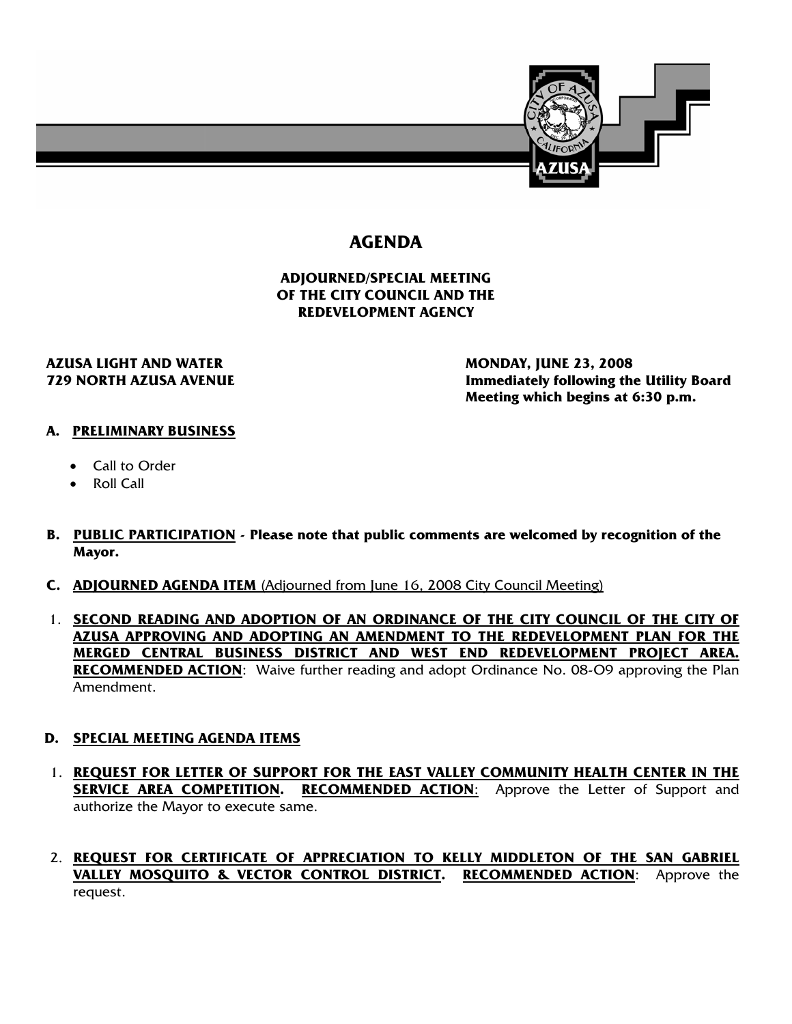

# **AGENDA**

#### **ADJOURNED/SPECIAL MEETING OF THE CITY COUNCIL AND THE REDEVELOPMENT AGENCY**

# **AZUSA LIGHT AND WATER MONDAY, JUNE 23, 2008**

 **729 NORTH AZUSA AVENUE Immediately following the Utility Board Meeting which begins at 6:30 p.m.** 

### **A. PRELIMINARY BUSINESS**

- Call to Order
- Roll Call
- **B. PUBLIC PARTICIPATION Please note that public comments are welcomed by recognition of the Mayor.**
- **C. ADJOURNED AGENDA ITEM** (Adjourned from June 16, 2008 City Council Meeting)
- 1. **SECOND READING AND ADOPTION OF AN ORDINANCE OF THE CITY COUNCIL OF THE CITY OF AZUSA APPROVING AND ADOPTING AN AMENDMENT TO THE REDEVELOPMENT PLAN FOR THE MERGED CENTRAL BUSINESS DISTRICT AND WEST END REDEVELOPMENT PROJECT AREA. RECOMMENDED ACTION**: Waive further reading and adopt Ordinance No. 08-O9 approving the Plan Amendment.

#### **D. SPECIAL MEETING AGENDA ITEMS**

- 1. **REQUEST FOR LETTER OF SUPPORT FOR THE EAST VALLEY COMMUNITY HEALTH CENTER IN THE SERVICE AREA COMPETITION. RECOMMENDED ACTION:** Approve the Letter of Support and authorize the Mayor to execute same.
- 2. **REQUEST FOR CERTIFICATE OF APPRECIATION TO KELLY MIDDLETON OF THE SAN GABRIEL VALLEY MOSQUITO & VECTOR CONTROL DISTRICT. RECOMMENDED ACTION**: Approve the request.